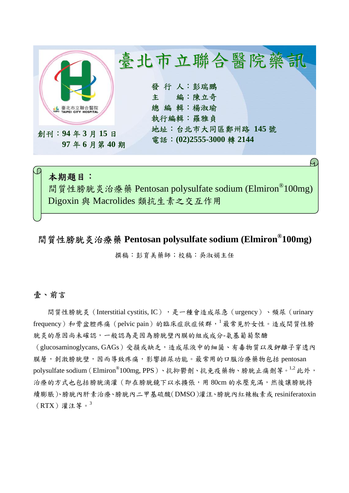

# 本期題目: 間質性膀胱炎治療藥 Pentosan polysulfate sodium (Elmiron<sup>®</sup>100mg) Digoxin 與 Macrolides 類抗生素之交互作用

# 間質性膀胱炎治療藥 **Pentosan polysulfate sodium (Elmiron®100mg)**

撰稿:彭育美藥師;校稿:吳淑娟主任

### 壹、前言

間質性膀胱炎 (Interstitial cystitis, IC),是一種會造成尿急 (urgency)、頻尿 (urinary frequency)和骨盆腔疼痛(pelvic pain)的臨床症狀症候群,<sup>1</sup>最常見於女性。造成間質性膀 胱炎的原因尚未確認,一般認為是因為膀胱壁內膜的組成成分-氨基葡萄聚醣

(glucosaminoglycans, GAGs)受損或缺乏,造成尿液中的細菌、有毒物質以及鉀離子穿透內 膜層,刺激膀胱壁,因而導致疼痛,影響排尿功能。最常用的口服治療藥物包括 pentosan polysulfate sodium (Elmiron<sup>®</sup>100mg, PPS)、抗抑鬱劑、抗免疫藥物、膀胱止痛劑等。<sup>1,2</sup> 此外, 治療的方式也包括膀胱滴灌(即在膀胱鏡下以水擴張,用 80cm 的水壓充滿,然後讓膀胱持 續膨脹)、膀胱內肝素治療、膀胱內二甲基硫酸(DMSO)灌注、膀胱內紅辣椒素或 resiniferatoxin  $(RTX)$ 灌注等。3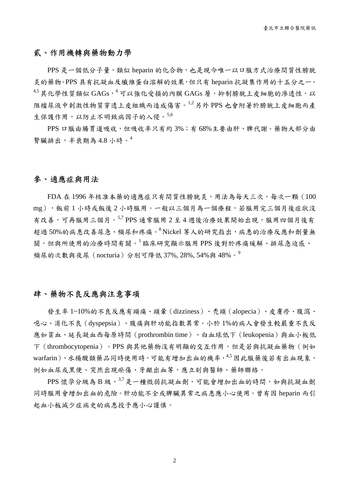### 貳、作用機轉與藥物動力學

PPS 是一個低分子量,類似 heparin 的化合物,也是現今唯一以口服方式治療間質性膀胱 炎的藥物。PPS 具有抗凝血及纖維蛋白溶解的效果,但只有 heparin 抗凝集作用的十五分之一。  $4.5$ 其化學性質類似 GAGs, $6$ 可以強化受損的內膜 GAGs 層,抑制膀胱上皮細胞的滲透性,以 阻檔尿液中刺激性物質穿透上皮組織而造成傷害。1,2 另外 PPS 也會附著於膀胱上皮細胞而產 生保護作用,以防止不明致病因子的入侵。5,6

PPS 口服由腸胃道吸收,但吸收率只有約 3%;有 68%主要由肝、脾代謝。藥物大部分由 腎臟排出,半衰期為 4.8 小時。 $4$ 

#### 參、適應症與用法

FDA 在 1996 年核准本藥的適應症只有間質性膀胱炎,用法為每天三次,每次一顆(100 mg), 飯前 1 小時或飯後 2 小時服用。一般以三個月為一個療程, 若服用完三個月後症狀沒 有改善,可再服用三個月。5,7 PPS 通常服用 2 至 4 週後治療效果開始出現,服用四個月後有 超過50%的病患改善尿急、頻尿和疼痛。8 Nickel 等人的研究指出,病患的治療反應和劑量無 關,但與所使用的治療時間有關。<sup>1</sup> 臨床研究顯示服用 PPS 後對於疼痛緩解、排尿急迫感、 頻尿的次數與夜尿(nocturia)分別可降低 37%, 28%, 54%與 48%。<sup>9</sup>

### 肆、藥物不良反應與注意事項

發生率 1~10%的不良反應有頭痛、頭暈(dizziness)、禿頭(alopecia)、皮膚疹、腹瀉、 噁心、消化不良(dyspepsia)、腹痛與肝功能指數異常。小於 1%的病人會發生較嚴重不良反 應如貧血、延長凝血西每原時間(prothrombin time)、白血球低下(leukopenia)與血小板低 下(thrombocytopenia)。PPS 與其他藥物沒有明顯的交互作用,但是若與抗凝血藥物(例如 warfarin)、水楊酸類藥品同時使用時,可能有增加出血的機率,4,5 因此服藥後若有出血現象, 例如血尿或黑便、突然出現瘀傷、牙齦出血等,應立刻與醫師、藥師聯絡。

PPS 懷孕分級為 B級,  $^{3,7}$ 是一種微弱抗凝血劑,可能會增加出血的時間,如與抗凝血劑 同時服用會增加出血的危險。肝功能不全或脾臟異常之病患應小心使用。曾有因 heparin 而引 起血小板減少症病史的病患投予應小心謹慎。

2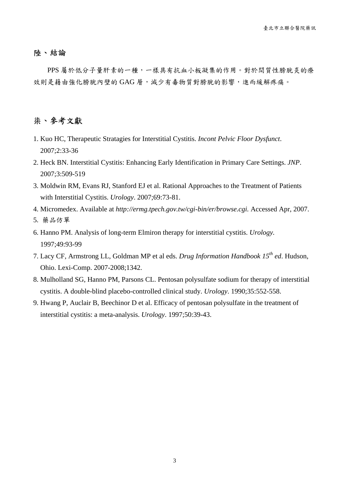#### 陸、結論

PPS 屬於低分子量肝素的一種,一樣具有抗血小板凝集的作用。對於間質性膀胱炎的療 效則是藉由強化膀胱內壁的 GAG 層,減少有毒物質對膀胱的影響,進而緩解疼痛。

## 柒、參考文獻

- 1. Kuo HC, Therapeutic Stratagies for Interstitial Cystitis. *Incont Pelvic Floor Dysfunct*. 2007;2:33-36
- 2. Heck BN. Interstitial Cystitis: Enhancing Early Identification in Primary Care Settings. *JNP*. 2007;3:509-519
- 3. Moldwin RM, Evans RJ, Stanford EJ et al. Rational Approaches to the Treatment of Patients with Interstitial Cystitis. *Urology*. 2007;69:73-81.
- 4. Micromedex. Available at *http://ermg.tpech.gov.tw/cgi-bin/er/browse.cgi.* Accessed Apr, 2007.
- 5. 藥品仿單
- 6. Hanno PM. Analysis of long-term Elmiron therapy for interstitial cystitis. *Urology.* 1997;49:93-99
- 7. Lacy CF, Armstrong LL, Goldman MP et al eds. *Drug Information Handbook 15th ed*. Hudson, Ohio. Lexi-Comp. 2007-2008;1342.
- 8. Mulholland SG, Hanno PM, Parsons CL. Pentosan polysulfate sodium for therapy of interstitial cystitis. A double-blind placebo-controlled clinical study. *Urology*. 1990;35:552-558.
- 9. Hwang P, Auclair B, Beechinor D et al. Efficacy of pentosan polysulfate in the treatment of interstitial cystitis: a meta-analysis. *Urology*. 1997;50:39-43.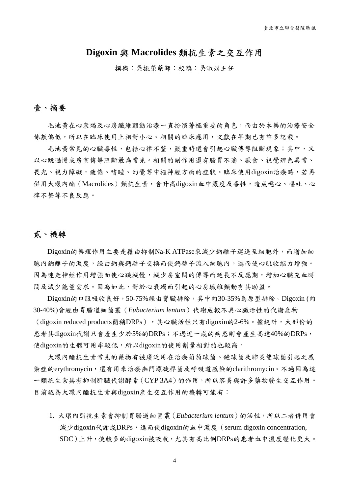### **Digoxin** 與 **Macrolides** 類抗生素之交互作用

撰稿:吳振榮藥師;校稿:吳淑娟主任

### 壹、摘要

毛地黃在心衰竭及心房纖維顫動治療一直扮演著極重要的角色,而由於本藥的治療安全 係數偏低,所以在臨床使用上相對小心。相關的臨床應用,文獻在早期已有許多記載。

毛地黃常見的心臟毒性,包括心律不整,嚴重時還會引起心臟傳導阻斷現象;其中,又 以心跳過慢或房室傳導阻斷最為常見。相關的副作用還有腸胃不適、厭食、視覺辨色異常、 畏光、視力障礙,疲倦、嗜睡、幻覺等中樞神經方面的症狀。臨床使用digoxin治療時,若再 併用大環內酯(Macrolides)類抗生素,會升高digoxin血中濃度及毒性,造成噁心、嘔吐、心 律不整等不良反應。

### 貳、機轉

Digoxin的藥理作用主要是藉由抑制Na-K ATPase來減少鈉離子運送至細胞外,而增加細 胞內鈉離子的濃度,經由鈉與鈣離子交換而使鈣離子流入細胞內,進而使心肌收縮力增強。 因為迷走神經作用增強而使心跳減慢,減少房室間的傳導而延長不反應期,增加心臟充血時 間及減少能量需求。因為如此,對於心衰竭而引起的心房纖維顫動有其助益。

Digoxin的口服吸收良好,50-75%經由腎臟排除,其中約30-35%為原型排除。Digoxin (約 30-40%)會經由胃腸道細菌叢(*Eubacterium lentum*)代謝成較不具心臟活性的代謝產物

(digoxin reduced products簡稱DRPs),其心臟活性只有digoxin的2-6%。據統計,大部份的 患者其digoxin代謝只會產生少於5%的DRPs;不過近一成的病患則會產生高達40%的DRPs, 使digoxin的生體可用率較低,所以digoxin的使用劑量相對的也較高。

大環內酯抗生素常見的藥物有被廣泛用在治療葡萄球菌、鏈球菌及肺炎雙球菌引起之感 染症的erythromycin,還有用來治療幽門螺旋桿菌及呼吸道感染的clarithromycin。不過因為這 一類抗生素具有抑制肝臟代謝酵素(CYP 3A4)的作用,所以容易與許多藥物發生交互作用。 目前認為大環內酯抗生素與digoxin產生交互作用的機轉可能有:

1. 大環內酯抗生素會抑制胃腸道細菌叢(*Eubacterium lentum*)的活性,所以二者併用會 減少digoxin代謝成DRPs,進而使digoxin的血中濃度(serum digoxin concentration, SDC)上升,使較多的digoxin被吸收,尤其有高比例DRPs的患者血中濃度變化更大。